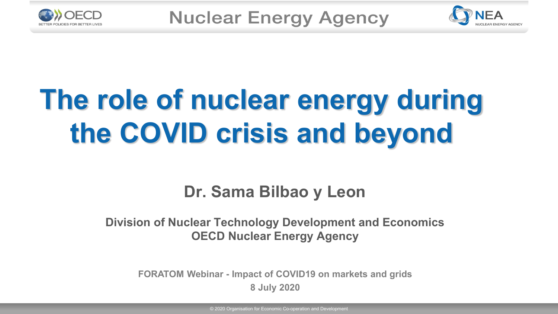



# **The role of nuclear energy during the COVID crisis and beyond**

#### **Dr. Sama Bilbao y Leon**

#### **Division of Nuclear Technology Development and Economics OECD Nuclear Energy Agency**

**FORATOM Webinar - Impact of COVID19 on markets and grids 8 July 2020**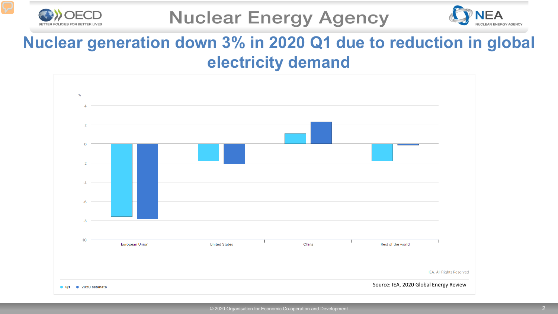



#### **Nuclear generation down 3% in 2020 Q1 due to reduction in global electricity demand**

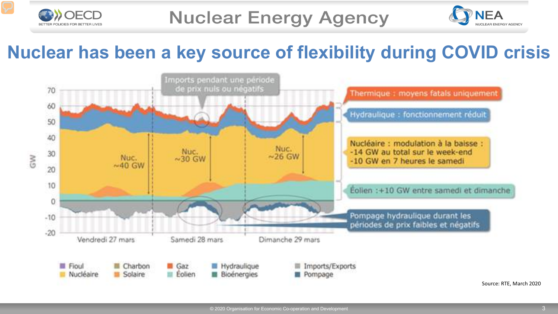

OECD



# **Nuclear has been a key source of flexibility during COVID crisis**

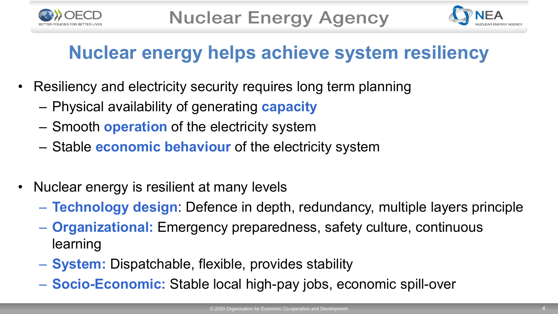



# **Nuclear energy helps achieve system resiliency**

- Resiliency and electricity security requires long term planning
	- Physical availability of generating **capacity**
	- Smooth **operation** of the electricity system
	- Stable **economic behaviour** of the electricity system
- Nuclear energy is resilient at many levels
	- **Technology design**: Defence in depth, redundancy, multiple layers principle
	- **Organizational:** Emergency preparedness, safety culture, continuous learning
	- **System:** Dispatchable, flexible, provides stability
	- **Socio-Economic:** Stable local high-pay jobs, economic spill-over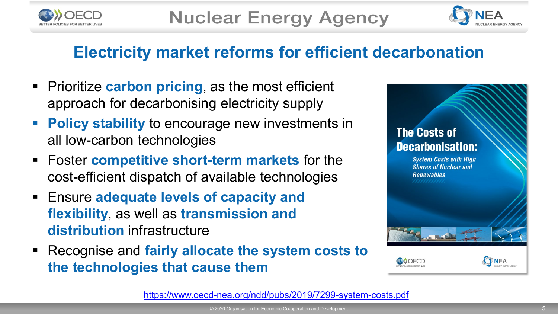



#### **Electricity market reforms for efficient decarbonation**

- **Prioritize carbon pricing, as the most efficient** approach for decarbonising electricity supply
- **Policy stability** to encourage new investments in all low-carbon technologies
- Foster **competitive short-term markets** for the cost-efficient dispatch of available technologies
- Ensure **adequate levels of capacity and flexibility**, as well as **transmission and distribution** infrastructure
- Recognise and **fairly allocate the system costs to the technologies that cause them**



<https://www.oecd-nea.org/ndd/pubs/2019/7299-system-costs.pdf>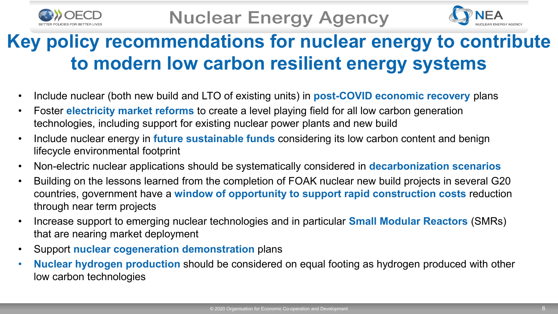



# **Key policy recommendations for nuclear energy to contribute to modern low carbon resilient energy systems**

- Include nuclear (both new build and LTO of existing units) in **post-COVID economic recovery** plans
- Foster **electricity market reforms** to create a level playing field for all low carbon generation technologies, including support for existing nuclear power plants and new build
- Include nuclear energy in **future sustainable funds** considering its low carbon content and benign lifecycle environmental footprint
- Non-electric nuclear applications should be systematically considered in **decarbonization scenarios**
- Building on the lessons learned from the completion of FOAK nuclear new build projects in several G20 countries, government have a **window of opportunity to support rapid construction costs** reduction through near term projects
- Increase support to emerging nuclear technologies and in particular **Small Modular Reactors** (SMRs) that are nearing market deployment
- Support **nuclear cogeneration demonstration** plans
- **Nuclear hydrogen production** should be considered on equal footing as hydrogen produced with other low carbon technologies